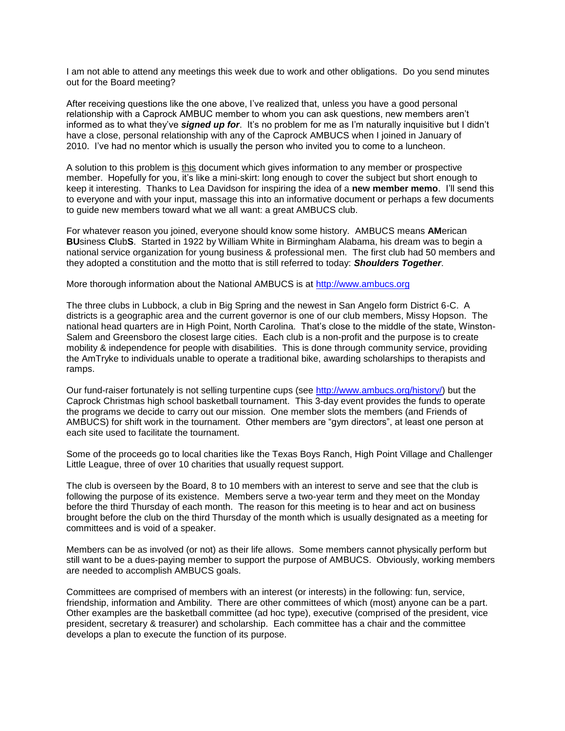I am not able to attend any meetings this week due to work and other obligations. Do you send minutes out for the Board meeting?

After receiving questions like the one above, I've realized that, unless you have a good personal relationship with a Caprock AMBUC member to whom you can ask questions, new members aren't informed as to what they've *signed up for*. It's no problem for me as I'm naturally inquisitive but I didn't have a close, personal relationship with any of the Caprock AMBUCS when I joined in January of 2010. I've had no mentor which is usually the person who invited you to come to a luncheon.

A solution to this problem is this document which gives information to any member or prospective member. Hopefully for you, it's like a mini-skirt: long enough to cover the subject but short enough to keep it interesting. Thanks to Lea Davidson for inspiring the idea of a **new member memo**. I'll send this to everyone and with your input, massage this into an informative document or perhaps a few documents to guide new members toward what we all want: a great AMBUCS club.

For whatever reason you joined, everyone should know some history. AMBUCS means **AM**erican **BU**siness **C**lub**S**. Started in 1922 by William White in Birmingham Alabama, his dream was to begin a national service organization for young business & professional men. The first club had 50 members and they adopted a constitution and the motto that is still referred to today: *Shoulders Together*.

More thorough information about the National AMBUCS is at [http://www.ambucs.org](http://www.ambucs.org/)

The three clubs in Lubbock, a club in Big Spring and the newest in San Angelo form District 6-C. A districts is a geographic area and the current governor is one of our club members, Missy Hopson. The national head quarters are in High Point, North Carolina. That's close to the middle of the state, Winston-Salem and Greensboro the closest large cities. Each club is a non-profit and the purpose is to create mobility & independence for people with disabilities. This is done through community service, providing the AmTryke to individuals unable to operate a traditional bike, awarding scholarships to therapists and ramps.

Our fund-raiser fortunately is not selling turpentine cups (see [http://www.ambucs.org/history/\)](http://www.ambucs.org/history/) but the Caprock Christmas high school basketball tournament. This 3-day event provides the funds to operate the programs we decide to carry out our mission. One member slots the members (and Friends of AMBUCS) for shift work in the tournament. Other members are "gym directors", at least one person at each site used to facilitate the tournament.

Some of the proceeds go to local charities like the Texas Boys Ranch, High Point Village and Challenger Little League, three of over 10 charities that usually request support.

The club is overseen by the Board, 8 to 10 members with an interest to serve and see that the club is following the purpose of its existence. Members serve a two-year term and they meet on the Monday before the third Thursday of each month. The reason for this meeting is to hear and act on business brought before the club on the third Thursday of the month which is usually designated as a meeting for committees and is void of a speaker.

Members can be as involved (or not) as their life allows. Some members cannot physically perform but still want to be a dues-paying member to support the purpose of AMBUCS. Obviously, working members are needed to accomplish AMBUCS goals.

Committees are comprised of members with an interest (or interests) in the following: fun, service, friendship, information and Ambility. There are other committees of which (most) anyone can be a part. Other examples are the basketball committee (ad hoc type), executive (comprised of the president, vice president, secretary & treasurer) and scholarship. Each committee has a chair and the committee develops a plan to execute the function of its purpose.